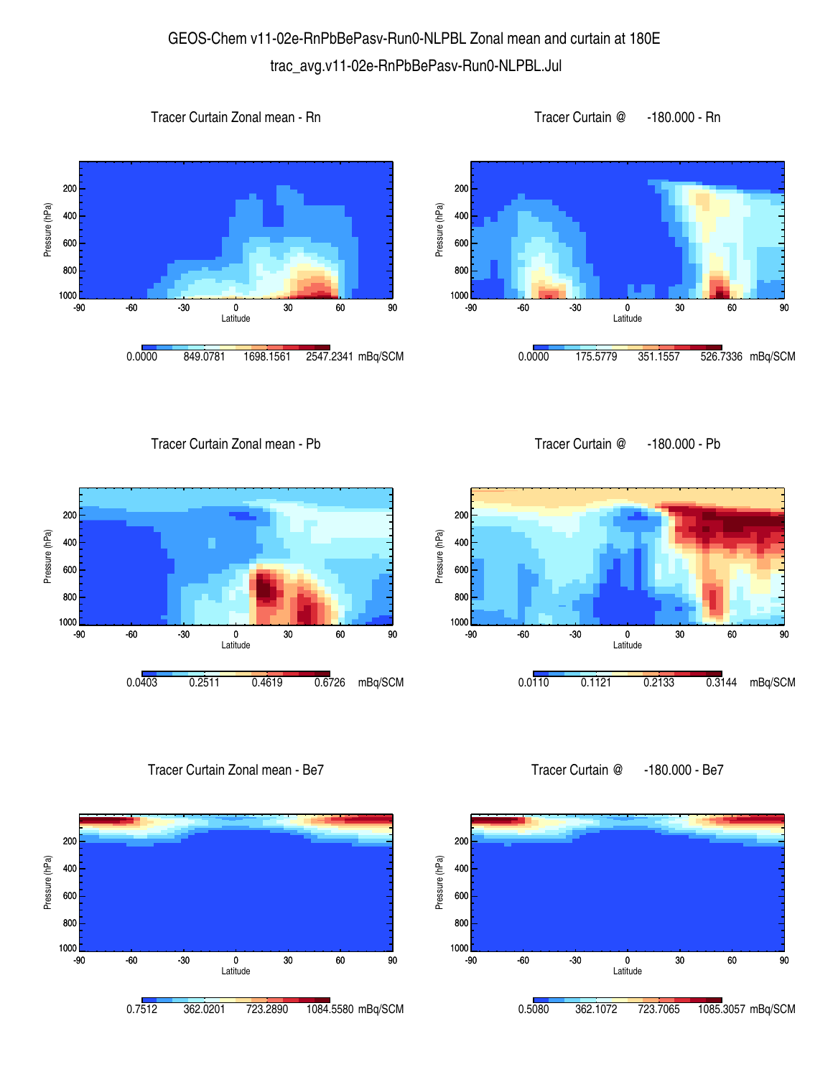## GEOS-Chem v11-02e-RnPbBePasv-Run0-NLPBL Zonal mean and curtain at 180E trac\_avg.v11-02e-RnPbBePasv-Run0-NLPBL.Jul









Tracer Curtain Zonal mean - Pb



Tracer Curtain Zonal mean - Be7



Tracer Curtain @ -180.000 - Pb



Tracer Curtain @ -180.000 - Be7